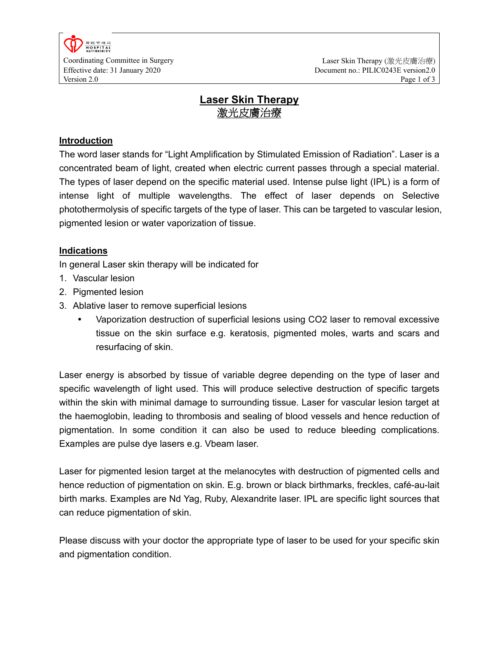

# **Laser Skin Therapy**  激光皮膚治療

#### **Introduction**

The word laser stands for "Light Amplification by Stimulated Emission of Radiation". Laser is a concentrated beam of light, created when electric current passes through a special material. The types of laser depend on the specific material used. Intense pulse light (IPL) is a form of intense light of multiple wavelengths. The effect of laser depends on Selective photothermolysis of specific targets of the type of laser. This can be targeted to vascular lesion, pigmented lesion or water vaporization of tissue.

#### **Indications**

In general Laser skin therapy will be indicated for

- 1. Vascular lesion
- 2. Pigmented lesion
- 3. Ablative laser to remove superficial lesions
	- Vaporization destruction of superficial lesions using CO2 laser to removal excessive tissue on the skin surface e.g. keratosis, pigmented moles, warts and scars and resurfacing of skin.

Laser energy is absorbed by tissue of variable degree depending on the type of laser and specific wavelength of light used. This will produce selective destruction of specific targets within the skin with minimal damage to surrounding tissue. Laser for vascular lesion target at the haemoglobin, leading to thrombosis and sealing of blood vessels and hence reduction of pigmentation. In some condition it can also be used to reduce bleeding complications. Examples are pulse dye lasers e.g. Vbeam laser.

Laser for pigmented lesion target at the melanocytes with destruction of pigmented cells and hence reduction of pigmentation on skin. E.g. brown or black birthmarks, freckles, café-au-lait birth marks. Examples are Nd Yag, Ruby, Alexandrite laser. IPL are specific light sources that can reduce pigmentation of skin.

Please discuss with your doctor the appropriate type of laser to be used for your specific skin and pigmentation condition.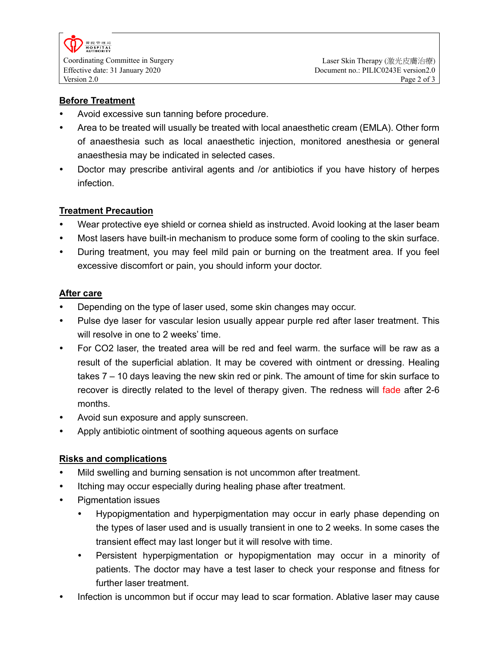#### **Before Treatment**

- Avoid excessive sun tanning before procedure.
- Area to be treated will usually be treated with local anaesthetic cream (EMLA). Other form of anaesthesia such as local anaesthetic injection, monitored anesthesia or general anaesthesia may be indicated in selected cases.
- Doctor may prescribe antiviral agents and /or antibiotics if you have history of herpes infection.

## **Treatment Precaution**

- Wear protective eye shield or cornea shield as instructed. Avoid looking at the laser beam
- Most lasers have built-in mechanism to produce some form of cooling to the skin surface.
- During treatment, you may feel mild pain or burning on the treatment area. If you feel excessive discomfort or pain, you should inform your doctor.

## **After care**

- Depending on the type of laser used, some skin changes may occur.
- Pulse dye laser for vascular lesion usually appear purple red after laser treatment. This will resolve in one to 2 weeks' time.
- For CO2 laser, the treated area will be red and feel warm. the surface will be raw as a result of the superficial ablation. It may be covered with ointment or dressing. Healing takes 7 – 10 days leaving the new skin red or pink. The amount of time for skin surface to recover is directly related to the level of therapy given. The redness will fade after 2-6 months.
- Avoid sun exposure and apply sunscreen.
- Apply antibiotic ointment of soothing aqueous agents on surface

# **Risks and complications**

- Mild swelling and burning sensation is not uncommon after treatment.
- Itching may occur especially during healing phase after treatment.
- Pigmentation issues
	- Hypopigmentation and hyperpigmentation may occur in early phase depending on the types of laser used and is usually transient in one to 2 weeks. In some cases the transient effect may last longer but it will resolve with time.
	- Persistent hyperpigmentation or hypopigmentation may occur in a minority of patients. The doctor may have a test laser to check your response and fitness for further laser treatment.
- Infection is uncommon but if occur may lead to scar formation. Ablative laser may cause